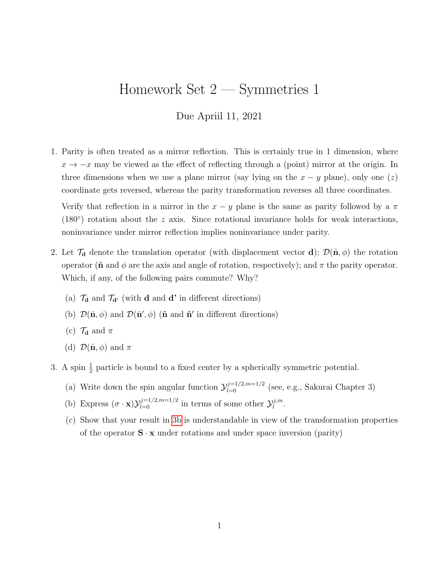## Homework Set 2 — Symmetries 1

## Due Apriil 11, 2021

1. Parity is often treated as a mirror reflection. This is certainly true in 1 dimension, where  $x \to -x$  may be viewed as the effect of reflecting through a (point) mirror at the origin. In three dimensions when we use a plane mirror (say lying on the  $x - y$  plane), only one  $(z)$ coordinate gets reversed, whereas the parity transformation reverses all three coordinates.

Verify that reflection in a mirror in the  $x - y$  plane is the same as parity followed by a  $\pi$ (180 $\degree$ ) rotation about the z axis. Since rotational invariance holds for weak interactions, noninvariance under mirror reflection implies noninvariance under parity.

- 2. Let  $\mathcal{T}_{d}$  denote the translation operator (with displacement vector d);  $\mathcal{D}(\hat{\mathbf{n}},\phi)$  the rotation operator ( $\hat{\mathbf{n}}$  and  $\phi$  are the axis and angle of rotation, respectively); and  $\pi$  the parity operator. Which, if any, of the following pairs commute? Why?
	- (a)  $\mathcal{T}_{d}$  and  $\mathcal{T}_{d'}$  (with **d** and **d'** in different directions)
	- (b)  $\mathcal{D}(\hat{\mathbf{n}},\phi)$  and  $\mathcal{D}(\hat{\mathbf{n}}',\phi)$  ( $\hat{\mathbf{n}}$  and  $\hat{\mathbf{n}}'$  in different directions)
	- (c)  $\mathcal{T}_{d}$  and  $\pi$
	- (d)  $\mathcal{D}(\hat{\mathbf{n}}, \phi)$  and  $\pi$
- <span id="page-0-0"></span>3. A spin  $\frac{1}{2}$  particle is bound to a fixed center by a spherically symmetric potential.
	- (a) Write down the spin angular function  $\mathcal{Y}_{l=0}^{j=1/2,m=1/2}$  (see, e.g., Sakurai Chapter 3)
	- (b) Express  $(\sigma \cdot \mathbf{x}) \mathcal{Y}_{l=0}^{j=1/2, m=1/2}$  in terms of some other  $\mathcal{Y}_{l}^{j,m}$  $_{l}^{j,m}.$
	- (c) Show that your result in [3b](#page-0-0) is understandable in view of the transformation properties of the operator  $\mathbf{S} \cdot \mathbf{x}$  under rotations and under space inversion (parity)